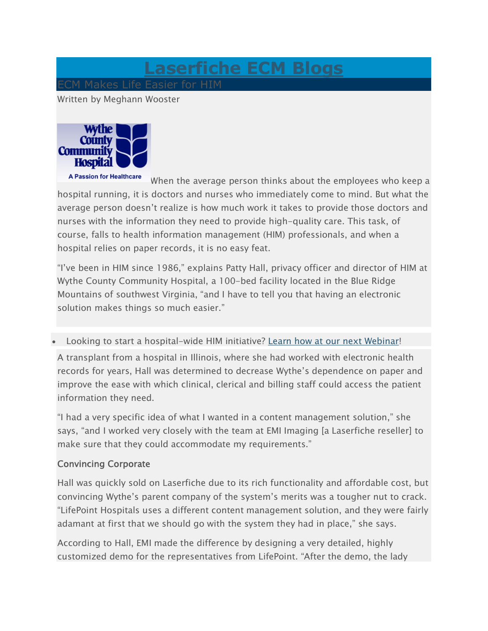# **Laserfiche ECM Blogs**

ECM Makes Life Easier for HIM

Written by Meghann Wooster



When the average person thinks about the employees who keep a hospital running, it is doctors and nurses who immediately come to mind. But what the average person doesn't realize is how much work it takes to provide those doctors and nurses with the information they need to provide high-quality care. This task, of course, falls to health information management (HIM) professionals, and when a hospital relies on paper records, it is no easy feat.

"I've been in HIM since 1986," explains Patty Hall, privacy officer and director of HIM at Wythe County Community Hospital, a 100-bed facility located in the Blue Ridge Mountains of southwest Virginia, "and I have to tell you that having an electronic solution makes things so much easier."

#### • Looking to start a hospital-wide HIM initiative? Learn how at our next Webinar!

A transplant from a hospital in Illinois, where she had worked with electronic health records for years, Hall was determined to decrease Wythe's dependence on paper and improve the ease with which clinical, clerical and billing staff could access the patient information they need.

"I had a very specific idea of what I wanted in a content management solution," she says, "and I worked very closely with the team at EMI Imaging [a Laserfiche reseller] to make sure that they could accommodate my requirements."

## Convincing Corporate

Hall was quickly sold on Laserfiche due to its rich functionality and affordable cost, but convincing Wythe's parent company of the system's merits was a tougher nut to crack. "LifePoint Hospitals uses a different content management solution, and they were fairly adamant at first that we should go with the system they had in place," she says.

According to Hall, EMI made the difference by designing a very detailed, highly customized demo for the representatives from LifePoint. "After the demo, the lady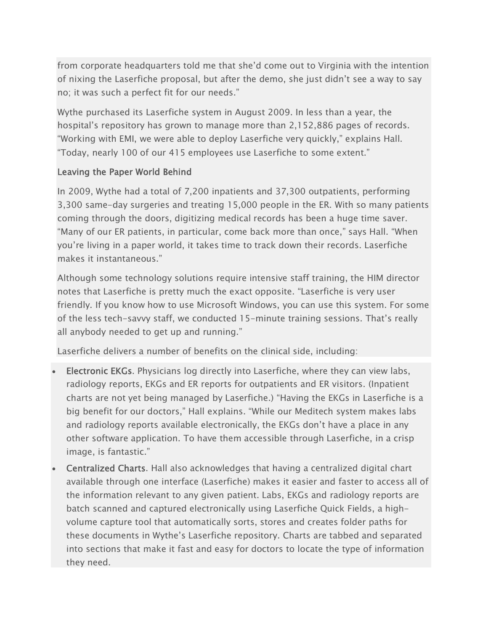from corporate headquarters told me that she'd come out to Virginia with the intention of nixing the Laserfiche proposal, but after the demo, she just didn't see a way to say no; it was such a perfect fit for our needs."

Wythe purchased its Laserfiche system in August 2009. In less than a year, the hospital's repository has grown to manage more than 2,152,886 pages of records. "Working with EMI, we were able to deploy Laserfiche very quickly," explains Hall. "Today, nearly 100 of our 415 employees use Laserfiche to some extent."

### Leaving the Paper World Behind

In 2009, Wythe had a total of 7,200 inpatients and 37,300 outpatients, performing 3,300 same-day surgeries and treating 15,000 people in the ER. With so many patients coming through the doors, digitizing medical records has been a huge time saver. "Many of our ER patients, in particular, come back more than once," says Hall. "When you're living in a paper world, it takes time to track down their records. Laserfiche makes it instantaneous."

Although some technology solutions require intensive staff training, the HIM director notes that Laserfiche is pretty much the exact opposite. "Laserfiche is very user friendly. If you know how to use Microsoft Windows, you can use this system. For some of the less tech-savvy staff, we conducted 15-minute training sessions. That's really all anybody needed to get up and running."

Laserfiche delivers a number of benefits on the clinical side, including:

- Electronic EKGs. Physicians log directly into Laserfiche, where they can view labs, radiology reports, EKGs and ER reports for outpatients and ER visitors. (Inpatient charts are not yet being managed by Laserfiche.) "Having the EKGs in Laserfiche is a big benefit for our doctors," Hall explains. "While our Meditech system makes labs and radiology reports available electronically, the EKGs don't have a place in any other software application. To have them accessible through Laserfiche, in a crisp image, is fantastic."
- Centralized Charts. Hall also acknowledges that having a centralized digital chart available through one interface (Laserfiche) makes it easier and faster to access all of the information relevant to any given patient. Labs, EKGs and radiology reports are batch scanned and captured electronically using Laserfiche Quick Fields, a highvolume capture tool that automatically sorts, stores and creates folder paths for these documents in Wythe's Laserfiche repository. Charts are tabbed and separated into sections that make it fast and easy for doctors to locate the type of information they need.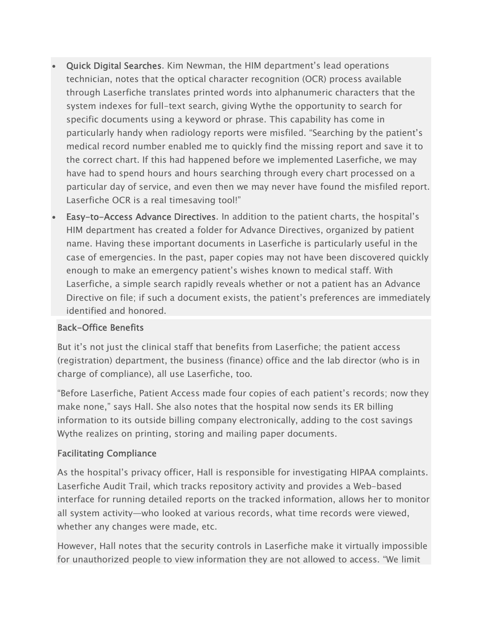- Quick Digital Searches. Kim Newman, the HIM department's lead operations technician, notes that the optical character recognition (OCR) process available through Laserfiche translates printed words into alphanumeric characters that the system indexes for full-text search, giving Wythe the opportunity to search for specific documents using a keyword or phrase. This capability has come in particularly handy when radiology reports were misfiled. "Searching by the patient's medical record number enabled me to quickly find the missing report and save it to the correct chart. If this had happened before we implemented Laserfiche, we may have had to spend hours and hours searching through every chart processed on a particular day of service, and even then we may never have found the misfiled report. Laserfiche OCR is a real timesaving tool!"
- Easy-to-Access Advance Directives. In addition to the patient charts, the hospital's HIM department has created a folder for Advance Directives, organized by patient name. Having these important documents in Laserfiche is particularly useful in the case of emergencies. In the past, paper copies may not have been discovered quickly enough to make an emergency patient's wishes known to medical staff. With Laserfiche, a simple search rapidly reveals whether or not a patient has an Advance Directive on file; if such a document exists, the patient's preferences are immediately identified and honored.

## Back-Office Benefits

But it's not just the clinical staff that benefits from Laserfiche; the patient access (registration) department, the business (finance) office and the lab director (who is in charge of compliance), all use Laserfiche, too.

"Before Laserfiche, Patient Access made four copies of each patient's records; now they make none," says Hall. She also notes that the hospital now sends its ER billing information to its outside billing company electronically, adding to the cost savings Wythe realizes on printing, storing and mailing paper documents.

## Facilitating Compliance

As the hospital's privacy officer, Hall is responsible for investigating HIPAA complaints. Laserfiche Audit Trail, which tracks repository activity and provides a Web-based interface for running detailed reports on the tracked information, allows her to monitor all system activity—who looked at various records, what time records were viewed, whether any changes were made, etc.

However, Hall notes that the security controls in Laserfiche make it virtually impossible for unauthorized people to view information they are not allowed to access. "We limit